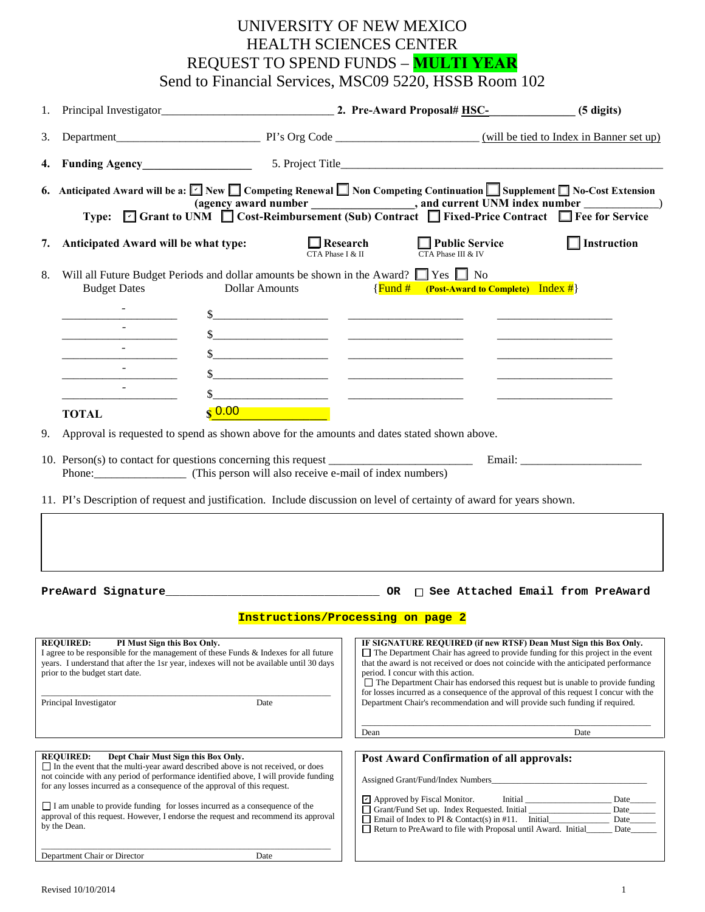## UNIVERSITY OF NEW MEXICO HEALTH SCIENCES CENTER REQUEST TO SPEND FUNDS – **MULTI YEAR** Send to Financial Services, MSC09 5220, HSSB Room 102

| 1.                                                                                                                                                                                                                                                                                                                                                                                                                                                                                                          |                                                                                                                                                                                                                                                                                                                                         |                                                                                                                                                                                                                                            | Principal Investigator (5 digits) 2. Pre-Award Proposal# HSC- (5 digits)                                                                                                                                                                                                                                                                                                                                                                                                                                                                                       |                              |  |
|-------------------------------------------------------------------------------------------------------------------------------------------------------------------------------------------------------------------------------------------------------------------------------------------------------------------------------------------------------------------------------------------------------------------------------------------------------------------------------------------------------------|-----------------------------------------------------------------------------------------------------------------------------------------------------------------------------------------------------------------------------------------------------------------------------------------------------------------------------------------|--------------------------------------------------------------------------------------------------------------------------------------------------------------------------------------------------------------------------------------------|----------------------------------------------------------------------------------------------------------------------------------------------------------------------------------------------------------------------------------------------------------------------------------------------------------------------------------------------------------------------------------------------------------------------------------------------------------------------------------------------------------------------------------------------------------------|------------------------------|--|
| 3.                                                                                                                                                                                                                                                                                                                                                                                                                                                                                                          |                                                                                                                                                                                                                                                                                                                                         |                                                                                                                                                                                                                                            |                                                                                                                                                                                                                                                                                                                                                                                                                                                                                                                                                                |                              |  |
| 4.                                                                                                                                                                                                                                                                                                                                                                                                                                                                                                          |                                                                                                                                                                                                                                                                                                                                         |                                                                                                                                                                                                                                            |                                                                                                                                                                                                                                                                                                                                                                                                                                                                                                                                                                |                              |  |
|                                                                                                                                                                                                                                                                                                                                                                                                                                                                                                             | 6. Anticipated Award will be a: $\Box$ New $\Box$ Competing Renewal $\Box$ Non Competing Continuation $\Box$ Supplement $\Box$ No-Cost Extension<br>(agency award number ______________, and current UNM index number ___________)<br>Type: ⊡ Grant to UNM □ Cost-Reimbursement (Sub) Contract □ Fixed-Price Contract □ Fee for Service |                                                                                                                                                                                                                                            |                                                                                                                                                                                                                                                                                                                                                                                                                                                                                                                                                                |                              |  |
| 7.                                                                                                                                                                                                                                                                                                                                                                                                                                                                                                          | Anticipated Award will be what type:                                                                                                                                                                                                                                                                                                    |                                                                                                                                                                                                                                            | $\Box$ Research<br>CTA Phase I & II CTA Phase III & IV                                                                                                                                                                                                                                                                                                                                                                                                                                                                                                         | $\Box$ Instruction           |  |
| 8.                                                                                                                                                                                                                                                                                                                                                                                                                                                                                                          | Will all Future Budget Periods and dollar amounts be shown in the Award? Tes T No<br><b>Budget Dates</b><br><b>Dollar Amounts</b><br>$\{$ Fund # (Post-Award to Complete) Index # $\}$                                                                                                                                                  |                                                                                                                                                                                                                                            |                                                                                                                                                                                                                                                                                                                                                                                                                                                                                                                                                                |                              |  |
|                                                                                                                                                                                                                                                                                                                                                                                                                                                                                                             |                                                                                                                                                                                                                                                                                                                                         | $\frac{1}{2}$                                                                                                                                                                                                                              |                                                                                                                                                                                                                                                                                                                                                                                                                                                                                                                                                                |                              |  |
|                                                                                                                                                                                                                                                                                                                                                                                                                                                                                                             |                                                                                                                                                                                                                                                                                                                                         | $\frac{\text{S}}{\text{S}}$ . The contract of the contract of the contract of the contract of the contract of the contract of the contract of the contract of the contract of the contract of the contract of the contract of the contract |                                                                                                                                                                                                                                                                                                                                                                                                                                                                                                                                                                |                              |  |
|                                                                                                                                                                                                                                                                                                                                                                                                                                                                                                             |                                                                                                                                                                                                                                                                                                                                         |                                                                                                                                                                                                                                            |                                                                                                                                                                                                                                                                                                                                                                                                                                                                                                                                                                |                              |  |
|                                                                                                                                                                                                                                                                                                                                                                                                                                                                                                             | $\sim$                                                                                                                                                                                                                                                                                                                                  | $\frac{\text{S}}{\text{S}}$ . The contract of the contract of the contract of the contract of the contract of the contract of the contract of the contract of the contract of the contract of the contract of the contract of the contract |                                                                                                                                                                                                                                                                                                                                                                                                                                                                                                                                                                |                              |  |
|                                                                                                                                                                                                                                                                                                                                                                                                                                                                                                             | $\sim$                                                                                                                                                                                                                                                                                                                                  |                                                                                                                                                                                                                                            |                                                                                                                                                                                                                                                                                                                                                                                                                                                                                                                                                                |                              |  |
|                                                                                                                                                                                                                                                                                                                                                                                                                                                                                                             | <b>TOTAL</b>                                                                                                                                                                                                                                                                                                                            | $\frac{1}{2}$ 0.00                                                                                                                                                                                                                         |                                                                                                                                                                                                                                                                                                                                                                                                                                                                                                                                                                |                              |  |
| 9.                                                                                                                                                                                                                                                                                                                                                                                                                                                                                                          |                                                                                                                                                                                                                                                                                                                                         | Approval is requested to spend as shown above for the amounts and dates stated shown above.                                                                                                                                                |                                                                                                                                                                                                                                                                                                                                                                                                                                                                                                                                                                |                              |  |
|                                                                                                                                                                                                                                                                                                                                                                                                                                                                                                             | 11. PI's Description of request and justification. Include discussion on level of certainty of award for years shown.                                                                                                                                                                                                                   |                                                                                                                                                                                                                                            |                                                                                                                                                                                                                                                                                                                                                                                                                                                                                                                                                                |                              |  |
|                                                                                                                                                                                                                                                                                                                                                                                                                                                                                                             |                                                                                                                                                                                                                                                                                                                                         |                                                                                                                                                                                                                                            |                                                                                                                                                                                                                                                                                                                                                                                                                                                                                                                                                                |                              |  |
|                                                                                                                                                                                                                                                                                                                                                                                                                                                                                                             |                                                                                                                                                                                                                                                                                                                                         | <b>Contract Contract</b><br><u>Instructions/Processing on page</u>                                                                                                                                                                         | <u>and the community of the community</u>                                                                                                                                                                                                                                                                                                                                                                                                                                                                                                                      |                              |  |
| <b>REQUIRED:</b><br>PI Must Sign this Box Only.<br>I agree to be responsible for the management of these Funds & Indexes for all future<br>years. I understand that after the 1sr year, indexes will not be available until 30 days<br>prior to the budget start date.<br>Principal Investigator<br>Date                                                                                                                                                                                                    |                                                                                                                                                                                                                                                                                                                                         |                                                                                                                                                                                                                                            | IF SIGNATURE REQUIRED (if new RTSF) Dean Must Sign this Box Only.<br>$\Box$ The Department Chair has agreed to provide funding for this project in the event<br>that the award is not received or does not coincide with the anticipated performance<br>period. I concur with this action.<br>$\Box$ The Department Chair has endorsed this request but is unable to provide funding<br>for losses incurred as a consequence of the approval of this request I concur with the<br>Department Chair's recommendation and will provide such funding if required. |                              |  |
|                                                                                                                                                                                                                                                                                                                                                                                                                                                                                                             |                                                                                                                                                                                                                                                                                                                                         |                                                                                                                                                                                                                                            | Dean                                                                                                                                                                                                                                                                                                                                                                                                                                                                                                                                                           | Date                         |  |
| <b>REQUIRED:</b><br>Dept Chair Must Sign this Box Only.<br>$\Box$ In the event that the multi-year award described above is not received, or does<br>not coincide with any period of performance identified above, I will provide funding<br>for any losses incurred as a consequence of the approval of this request.<br>I am unable to provide funding for losses incurred as a consequence of the<br>approval of this request. However, I endorse the request and recommend its approval<br>by the Dean. |                                                                                                                                                                                                                                                                                                                                         |                                                                                                                                                                                                                                            | <b>Post Award Confirmation of all approvals:</b><br>Assigned Grant/Fund/Index Numbers_<br>$\triangleright$ Approved by Fiscal Monitor.<br>Initial<br>Grant/Fund Set up. Index Requested. Initial<br>$\Box$ Email of Index to PI & Contact(s) in #11. Initial<br>Return to PreAward to file with Proposal until Award. Initial                                                                                                                                                                                                                                  | Date<br>Date<br>Date<br>Date |  |
|                                                                                                                                                                                                                                                                                                                                                                                                                                                                                                             | Department Chair or Director                                                                                                                                                                                                                                                                                                            | Date                                                                                                                                                                                                                                       |                                                                                                                                                                                                                                                                                                                                                                                                                                                                                                                                                                |                              |  |